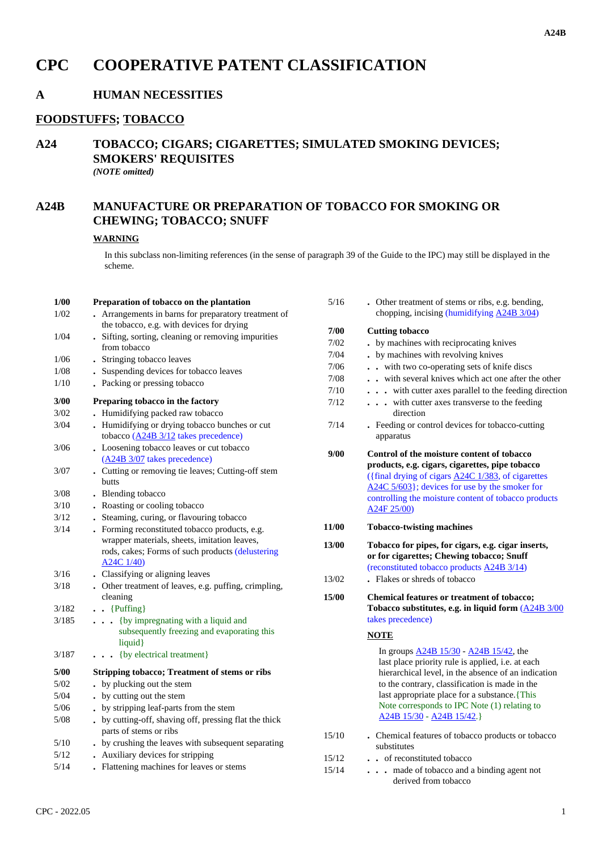# **CPC COOPERATIVE PATENT CLASSIFICATION**

# **A HUMAN NECESSITIES**

#### **FOODSTUFFS; TOBACCO**

## **A24 TOBACCO; CIGARS; CIGARETTES; SIMULATED SMOKING DEVICES; SMOKERS' REQUISITES** *(NOTE omitted)*

# **A24B MANUFACTURE OR PREPARATION OF TOBACCO FOR SMOKING OR CHEWING; TOBACCO; SNUFF**

### **WARNING**

In this subclass non-limiting references (in the sense of paragraph 39 of the Guide to the IPC) may still be displayed in the scheme.

| 1/00  | Preparation of tobacco on the plantation                                                                                                                         |
|-------|------------------------------------------------------------------------------------------------------------------------------------------------------------------|
| 1/02  | Arrangements in barns for preparatory treatment of<br>the tobacco, e.g. with devices for drying                                                                  |
| 1/04  | . Sifting, sorting, cleaning or removing impurities<br>from tobacco                                                                                              |
| 1/06  | . Stringing tobacco leaves                                                                                                                                       |
| 1/08  | . Suspending devices for tobacco leaves                                                                                                                          |
| 1/10  | . Packing or pressing tobacco                                                                                                                                    |
| 3/00  | Preparing tobacco in the factory                                                                                                                                 |
| 3/02  | Humidifying packed raw tobacco                                                                                                                                   |
| 3/04  | Humidifying or drying tobacco bunches or cut<br>$\ddot{\phantom{0}}$<br>tobacco $(\underline{A24B} \frac{3}{12})$ takes precedence)                              |
| 3/06  | • Loosening tobacco leaves or cut tobacco<br>(A24B 3/07 takes precedence)                                                                                        |
| 3/07  | . Cutting or removing tie leaves; Cutting-off stem<br>butts                                                                                                      |
| 3/08  | Blending tobacco                                                                                                                                                 |
| 3/10  | . Roasting or cooling tobacco                                                                                                                                    |
| 3/12  | . Steaming, curing, or flavouring tobacco                                                                                                                        |
| 3/14  | . Forming reconstituted tobacco products, e.g.<br>wrapper materials, sheets, imitation leaves,<br>rods, cakes; Forms of such products (delustering<br>A24C 1/40) |
| 3/16  | • Classifying or aligning leaves                                                                                                                                 |
| 3/18  | . Other treatment of leaves, e.g. puffing, crimpling,<br>cleaning                                                                                                |
| 3/182 | $\bullet$ {Puffing}                                                                                                                                              |
| 3/185 | {by impregnating with a liquid and<br>subsequently freezing and evaporating this<br>liquid}                                                                      |
| 3/187 | {by electrical treatment}                                                                                                                                        |
| 5/00  | <b>Stripping tobacco; Treatment of stems or ribs</b>                                                                                                             |
| 5/02  | by plucking out the stem                                                                                                                                         |
| 5/04  | by cutting out the stem                                                                                                                                          |
| 5/06  | by stripping leaf-parts from the stem                                                                                                                            |
| 5/08  | . by cutting-off, shaving off, pressing flat the thick<br>parts of stems or ribs                                                                                 |
| 5/10  | . by crushing the leaves with subsequent separating                                                                                                              |
| 5/12  | • Auxiliary devices for stripping                                                                                                                                |
| 5/14  | Flattening machines for leaves or stems                                                                                                                          |

| 5/16           | . Other treatment of stems or ribs, e.g. bending,<br>chopping, incising (humidifying A24B 3/04)                                                                                                                                                                                                                                                 |
|----------------|-------------------------------------------------------------------------------------------------------------------------------------------------------------------------------------------------------------------------------------------------------------------------------------------------------------------------------------------------|
| 7/00           | <b>Cutting tobacco</b>                                                                                                                                                                                                                                                                                                                          |
| 7/02           | by machines with reciprocating knives                                                                                                                                                                                                                                                                                                           |
| 7/04           | by machines with revolving knives                                                                                                                                                                                                                                                                                                               |
| 7/06           | with two co-operating sets of knife discs<br>$\ddot{\phantom{a}}$                                                                                                                                                                                                                                                                               |
| 7/08           | with several knives which act one after the other                                                                                                                                                                                                                                                                                               |
| 7/10           | with cutter axes parallel to the feeding direction                                                                                                                                                                                                                                                                                              |
| 7/12           | . with cutter axes transverse to the feeding<br>direction                                                                                                                                                                                                                                                                                       |
| 7/14           | . Feeding or control devices for tobacco-cutting<br>apparatus                                                                                                                                                                                                                                                                                   |
| 9/00           | Control of the moisture content of tobacco<br>products, e.g. cigars, cigarettes, pipe tobacco<br>({final drying of cigars A24C 1/383, of cigarettes<br>A24C 5/603}; devices for use by the smoker for<br>controlling the moisture content of tobacco products<br>A24F 25/00)                                                                    |
| 11/00          | <b>Tobacco-twisting machines</b>                                                                                                                                                                                                                                                                                                                |
| 13/00<br>13/02 | Tobacco for pipes, for cigars, e.g. cigar inserts,<br>or for cigarettes; Chewing tobacco; Snuff<br>(reconstituted tobacco products A24B 3/14)<br>. Flakes or shreds of tobacco                                                                                                                                                                  |
|                |                                                                                                                                                                                                                                                                                                                                                 |
| 15/00          | <b>Chemical features or treatment of tobacco;</b><br>Tobacco substitutes, e.g. in liquid form (A24B 3/00)<br>takes precedence)                                                                                                                                                                                                                  |
|                | <b>NOTE</b>                                                                                                                                                                                                                                                                                                                                     |
|                | In groups <b>A24B</b> 15/30 - <b>A24B</b> 15/42, the<br>last place priority rule is applied, i.e. at each<br>hierarchical level, in the absence of an indication<br>to the contrary, classification is made in the<br>last appropriate place for a substance. {This<br>Note corresponds to IPC Note (1) relating to<br>A24B 15/30 - A24B 15/42. |
| 15/10          | . Chemical features of tobacco products or tobacco<br>substitutes                                                                                                                                                                                                                                                                               |
| 15/12          | of reconstituted tobacco                                                                                                                                                                                                                                                                                                                        |

derived from tobacco